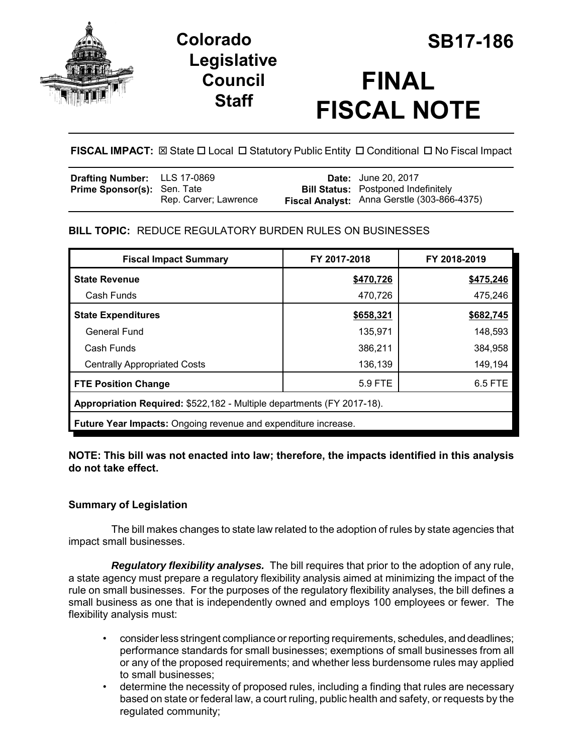

## **Legislative Council Staff**



# **FINAL FISCAL NOTE**

## **FISCAL IMPACT:**  $\boxtimes$  State  $\Box$  Local  $\Box$  Statutory Public Entity  $\Box$  Conditional  $\Box$  No Fiscal Impact

| <b>Drafting Number:</b> LLS 17-0869 |                       | <b>Date:</b> June 20, 2017                  |
|-------------------------------------|-----------------------|---------------------------------------------|
| <b>Prime Sponsor(s): Sen. Tate</b>  |                       | <b>Bill Status:</b> Postponed Indefinitely  |
|                                     | Rep. Carver: Lawrence | Fiscal Analyst: Anna Gerstle (303-866-4375) |

## **BILL TOPIC:** REDUCE REGULATORY BURDEN RULES ON BUSINESSES

| <b>Fiscal Impact Summary</b>                                           | FY 2017-2018 | FY 2018-2019 |  |  |  |
|------------------------------------------------------------------------|--------------|--------------|--|--|--|
| <b>State Revenue</b>                                                   | \$470,726    | \$475,246    |  |  |  |
| Cash Funds                                                             | 470,726      | 475.246      |  |  |  |
| <b>State Expenditures</b>                                              | \$658,321    | \$682,745    |  |  |  |
| General Fund                                                           | 135.971      | 148,593      |  |  |  |
| Cash Funds                                                             | 386,211      | 384,958      |  |  |  |
| <b>Centrally Appropriated Costs</b>                                    | 136,139      | 149,194      |  |  |  |
| 5.9 FTE<br>6.5 FTE<br><b>FTE Position Change</b>                       |              |              |  |  |  |
| Appropriation Required: \$522,182 - Multiple departments (FY 2017-18). |              |              |  |  |  |
| Future Year Impacts: Ongoing revenue and expenditure increase.         |              |              |  |  |  |

#### **NOTE: This bill was not enacted into law; therefore, the impacts identified in this analysis do not take effect.**

## **Summary of Legislation**

The bill makes changes to state law related to the adoption of rules by state agencies that impact small businesses.

*Regulatory flexibility analyses.* The bill requires that prior to the adoption of any rule, a state agency must prepare a regulatory flexibility analysis aimed at minimizing the impact of the rule on small businesses. For the purposes of the regulatory flexibility analyses, the bill defines a small business as one that is independently owned and employs 100 employees or fewer. The flexibility analysis must:

- consider less stringent compliance or reporting requirements, schedules, and deadlines; performance standards for small businesses; exemptions of small businesses from all or any of the proposed requirements; and whether less burdensome rules may applied to small businesses;
- determine the necessity of proposed rules, including a finding that rules are necessary based on state or federal law, a court ruling, public health and safety, or requests by the regulated community;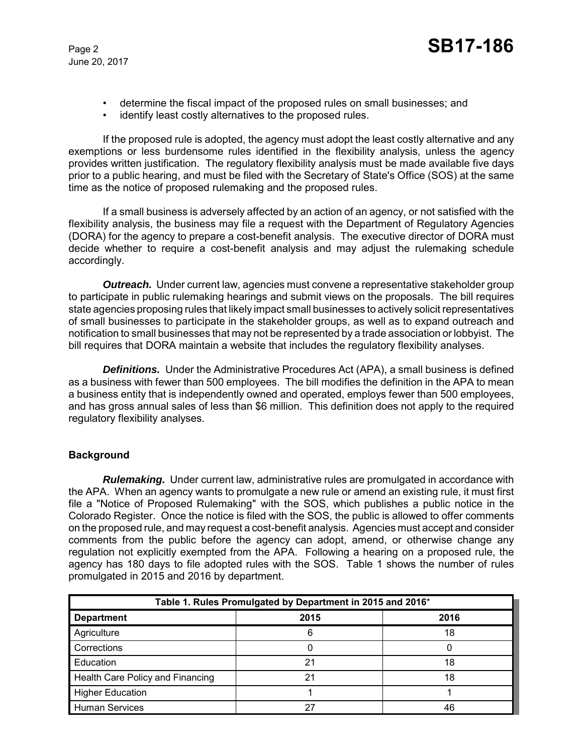- determine the fiscal impact of the proposed rules on small businesses; and
- identify least costly alternatives to the proposed rules.

If the proposed rule is adopted, the agency must adopt the least costly alternative and any exemptions or less burdensome rules identified in the flexibility analysis, unless the agency provides written justification. The regulatory flexibility analysis must be made available five days prior to a public hearing, and must be filed with the Secretary of State's Office (SOS) at the same time as the notice of proposed rulemaking and the proposed rules.

If a small business is adversely affected by an action of an agency, or not satisfied with the flexibility analysis, the business may file a request with the Department of Regulatory Agencies (DORA) for the agency to prepare a cost-benefit analysis. The executive director of DORA must decide whether to require a cost-benefit analysis and may adjust the rulemaking schedule accordingly.

*Outreach.* Under current law, agencies must convene a representative stakeholder group to participate in public rulemaking hearings and submit views on the proposals. The bill requires state agencies proposing rules that likely impact small businesses to actively solicit representatives of small businesses to participate in the stakeholder groups, as well as to expand outreach and notification to small businesses that may not be represented by a trade association or lobbyist. The bill requires that DORA maintain a website that includes the regulatory flexibility analyses.

**Definitions.** Under the Administrative Procedures Act (APA), a small business is defined as a business with fewer than 500 employees. The bill modifies the definition in the APA to mean a business entity that is independently owned and operated, employs fewer than 500 employees, and has gross annual sales of less than \$6 million. This definition does not apply to the required regulatory flexibility analyses.

#### **Background**

*Rulemaking.* Under current law, administrative rules are promulgated in accordance with the APA. When an agency wants to promulgate a new rule or amend an existing rule, it must first file a "Notice of Proposed Rulemaking" with the SOS, which publishes a public notice in the Colorado Register. Once the notice is filed with the SOS, the public is allowed to offer comments on the proposed rule, and may request a cost-benefit analysis. Agencies must accept and consider comments from the public before the agency can adopt, amend, or otherwise change any regulation not explicitly exempted from the APA. Following a hearing on a proposed rule, the agency has 180 days to file adopted rules with the SOS. Table 1 shows the number of rules promulgated in 2015 and 2016 by department.

| Table 1. Rules Promulgated by Department in 2015 and 2016* |      |      |  |  |
|------------------------------------------------------------|------|------|--|--|
| <b>Department</b>                                          | 2015 | 2016 |  |  |
| Agriculture                                                |      | 18   |  |  |
| Corrections                                                |      |      |  |  |
| Education                                                  | 21   | 18   |  |  |
| Health Care Policy and Financing                           | 21   | 18   |  |  |
| <b>Higher Education</b>                                    |      |      |  |  |
| <b>Human Services</b>                                      | 27   | 46   |  |  |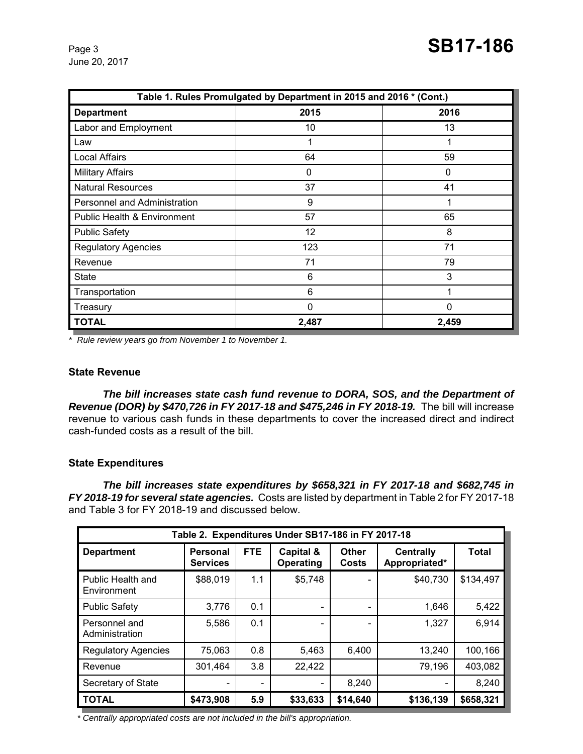| Table 1. Rules Promulgated by Department in 2015 and 2016 * (Cont.) |       |       |  |  |
|---------------------------------------------------------------------|-------|-------|--|--|
| <b>Department</b>                                                   | 2015  | 2016  |  |  |
| Labor and Employment                                                | 10    | 13    |  |  |
| Law                                                                 |       |       |  |  |
| Local Affairs                                                       | 64    | 59    |  |  |
| <b>Military Affairs</b>                                             | 0     | 0     |  |  |
| <b>Natural Resources</b>                                            | 37    | 41    |  |  |
| Personnel and Administration                                        | 9     | 1     |  |  |
| <b>Public Health &amp; Environment</b>                              | 57    | 65    |  |  |
| <b>Public Safety</b>                                                | 12    | 8     |  |  |
| <b>Regulatory Agencies</b>                                          | 123   | 71    |  |  |
| Revenue                                                             | 71    | 79    |  |  |
| <b>State</b>                                                        | 6     | 3     |  |  |
| Transportation                                                      | 6     | 1     |  |  |
| Treasury                                                            | 0     | 0     |  |  |
| <b>TOTAL</b>                                                        | 2,487 | 2,459 |  |  |

*\* Rule review years go from November 1 to November 1.* 

#### **State Revenue**

*The bill increases state cash fund revenue to DORA, SOS, and the Department of Revenue (DOR) by \$470,726 in FY 2017-18 and \$475,246 in FY 2018-19.* The bill will increase revenue to various cash funds in these departments to cover the increased direct and indirect cash-funded costs as a result of the bill.

#### **State Expenditures**

*The bill increases state expenditures by \$658,321 in FY 2017-18 and \$682,745 in FY 2018-19 for several state agencies.* Costs are listed by department in Table 2 for FY 2017-18 and Table 3 for FY 2018-19 and discussed below.

| Table 2. Expenditures Under SB17-186 in FY 2017-18 |                                    |                          |                        |                |                                   |              |
|----------------------------------------------------|------------------------------------|--------------------------|------------------------|----------------|-----------------------------------|--------------|
| <b>Department</b>                                  | <b>Personal</b><br><b>Services</b> | <b>FTE</b>               | Capital &<br>Operating | Other<br>Costs | <b>Centrally</b><br>Appropriated* | <b>Total</b> |
| Public Health and<br>Environment                   | \$88,019                           | 1.1                      | \$5,748                |                | \$40,730                          | \$134,497    |
| <b>Public Safety</b>                               | 3,776                              | 0.1                      |                        |                | 1,646                             | 5,422        |
| Personnel and<br>Administration                    | 5,586                              | 0.1                      |                        |                | 1,327                             | 6,914        |
| <b>Regulatory Agencies</b>                         | 75,063                             | 0.8                      | 5,463                  | 6,400          | 13,240                            | 100,166      |
| Revenue                                            | 301,464                            | 3.8                      | 22,422                 |                | 79,196                            | 403,082      |
| Secretary of State                                 |                                    | $\overline{\phantom{0}}$ | $\qquad \qquad$        | 8,240          |                                   | 8,240        |
| <b>TOTAL</b>                                       | \$473,908                          | 5.9                      | \$33,633               | \$14,640       | \$136,139                         | \$658,321    |

*\* Centrally appropriated costs are not included in the bill's appropriation.*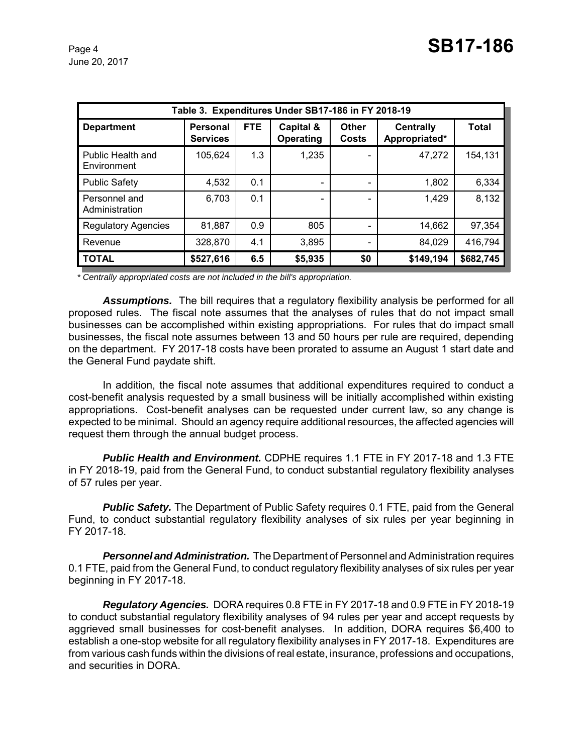| Table 3. Expenditures Under SB17-186 in FY 2018-19 |                                    |            |                              |                       |                                   |              |
|----------------------------------------------------|------------------------------------|------------|------------------------------|-----------------------|-----------------------------------|--------------|
| <b>Department</b>                                  | <b>Personal</b><br><b>Services</b> | <b>FTE</b> | Capital &<br>Operating       | <b>Other</b><br>Costs | <b>Centrally</b><br>Appropriated* | <b>Total</b> |
| Public Health and<br>Environment                   | 105,624                            | 1.3        | 1,235                        |                       | 47,272                            | 154,131      |
| <b>Public Safety</b>                               | 4,532                              | 0.1        | $\overline{\phantom{0}}$     |                       | 1,802                             | 6,334        |
| Personnel and<br>Administration                    | 6,703                              | 0.1        | $\qquad \qquad \blacksquare$ |                       | 1,429                             | 8,132        |
| <b>Regulatory Agencies</b>                         | 81,887                             | 0.9        | 805                          |                       | 14,662                            | 97,354       |
| Revenue                                            | 328,870                            | 4.1        | 3,895                        |                       | 84,029                            | 416,794      |
| <b>TOTAL</b>                                       | \$527,616                          | 6.5        | \$5,935                      | \$0                   | \$149,194                         | \$682,745    |

*\* Centrally appropriated costs are not included in the bill's appropriation.*

*Assumptions.* The bill requires that a regulatory flexibility analysis be performed for all proposed rules. The fiscal note assumes that the analyses of rules that do not impact small businesses can be accomplished within existing appropriations. For rules that do impact small businesses, the fiscal note assumes between 13 and 50 hours per rule are required, depending on the department. FY 2017-18 costs have been prorated to assume an August 1 start date and the General Fund paydate shift.

In addition, the fiscal note assumes that additional expenditures required to conduct a cost-benefit analysis requested by a small business will be initially accomplished within existing appropriations. Cost-benefit analyses can be requested under current law, so any change is expected to be minimal. Should an agency require additional resources, the affected agencies will request them through the annual budget process.

*Public Health and Environment.* CDPHE requires 1.1 FTE in FY 2017-18 and 1.3 FTE in FY 2018-19, paid from the General Fund, to conduct substantial regulatory flexibility analyses of 57 rules per year.

**Public Safety.** The Department of Public Safety requires 0.1 FTE, paid from the General Fund, to conduct substantial regulatory flexibility analyses of six rules per year beginning in FY 2017-18.

*Personnel and Administration.* The Department of Personnel and Administration requires 0.1 FTE, paid from the General Fund, to conduct regulatory flexibility analyses of six rules per year beginning in FY 2017-18.

*Regulatory Agencies.* DORA requires 0.8 FTE in FY 2017-18 and 0.9 FTE in FY 2018-19 to conduct substantial regulatory flexibility analyses of 94 rules per year and accept requests by aggrieved small businesses for cost-benefit analyses. In addition, DORA requires \$6,400 to establish a one-stop website for all regulatory flexibility analyses in FY 2017-18.Expenditures are from various cash funds within the divisions of real estate, insurance, professions and occupations, and securities in DORA.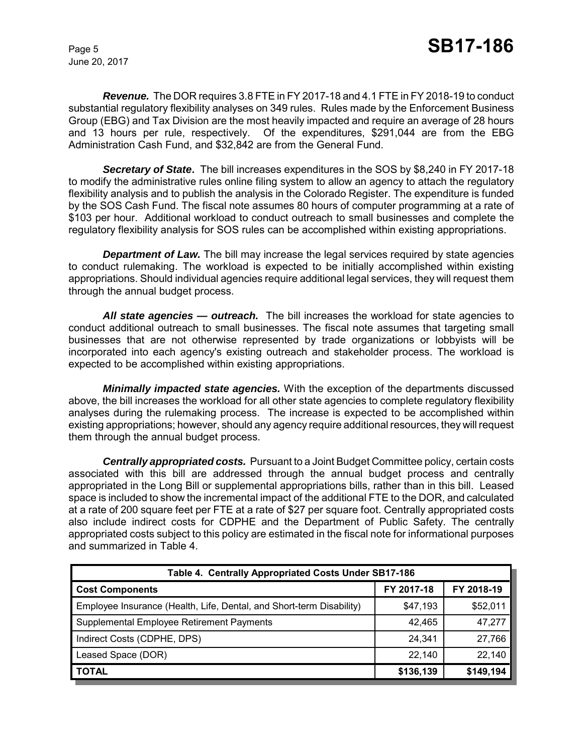*Revenue.* The DOR requires 3.8 FTE in FY 2017-18 and 4.1 FTE in FY 2018-19 to conduct substantial regulatory flexibility analyses on 349 rules. Rules made by the Enforcement Business Group (EBG) and Tax Division are the most heavily impacted and require an average of 28 hours and 13 hours per rule, respectively. Of the expenditures, \$291,044 are from the EBG Administration Cash Fund, and \$32,842 are from the General Fund.

*Secretary of State***.** The bill increases expenditures in the SOS by \$8,240 in FY 2017-18 to modify the administrative rules online filing system to allow an agency to attach the regulatory flexibility analysis and to publish the analysis in the Colorado Register. The expenditure is funded by the SOS Cash Fund. The fiscal note assumes 80 hours of computer programming at a rate of \$103 per hour. Additional workload to conduct outreach to small businesses and complete the regulatory flexibility analysis for SOS rules can be accomplished within existing appropriations.

**Department of Law.** The bill may increase the legal services required by state agencies to conduct rulemaking. The workload is expected to be initially accomplished within existing appropriations. Should individual agencies require additional legal services, they will request them through the annual budget process.

*All state agencies — outreach.* The bill increases the workload for state agencies to conduct additional outreach to small businesses. The fiscal note assumes that targeting small businesses that are not otherwise represented by trade organizations or lobbyists will be incorporated into each agency's existing outreach and stakeholder process. The workload is expected to be accomplished within existing appropriations.

*Minimally impacted state agencies.* With the exception of the departments discussed above, the bill increases the workload for all other state agencies to complete regulatory flexibility analyses during the rulemaking process. The increase is expected to be accomplished within existing appropriations; however, should any agency require additional resources, they will request them through the annual budget process.

*Centrally appropriated costs.* Pursuant to a Joint Budget Committee policy, certain costs associated with this bill are addressed through the annual budget process and centrally appropriated in the Long Bill or supplemental appropriations bills, rather than in this bill. Leased space is included to show the incremental impact of the additional FTE to the DOR, and calculated at a rate of 200 square feet per FTE at a rate of \$27 per square foot. Centrally appropriated costs also include indirect costs for CDPHE and the Department of Public Safety. The centrally appropriated costs subject to this policy are estimated in the fiscal note for informational purposes and summarized in Table 4.

| Table 4. Centrally Appropriated Costs Under SB17-186                 |            |            |  |  |  |
|----------------------------------------------------------------------|------------|------------|--|--|--|
| <b>Cost Components</b>                                               | FY 2017-18 | FY 2018-19 |  |  |  |
| Employee Insurance (Health, Life, Dental, and Short-term Disability) | \$47,193   | \$52,011   |  |  |  |
| Supplemental Employee Retirement Payments                            | 42.465     | 47,277     |  |  |  |
| Indirect Costs (CDPHE, DPS)                                          | 24,341     | 27,766     |  |  |  |
| Leased Space (DOR)                                                   | 22,140     | 22,140     |  |  |  |
| <b>TOTAL</b>                                                         | \$136,139  | \$149,194  |  |  |  |